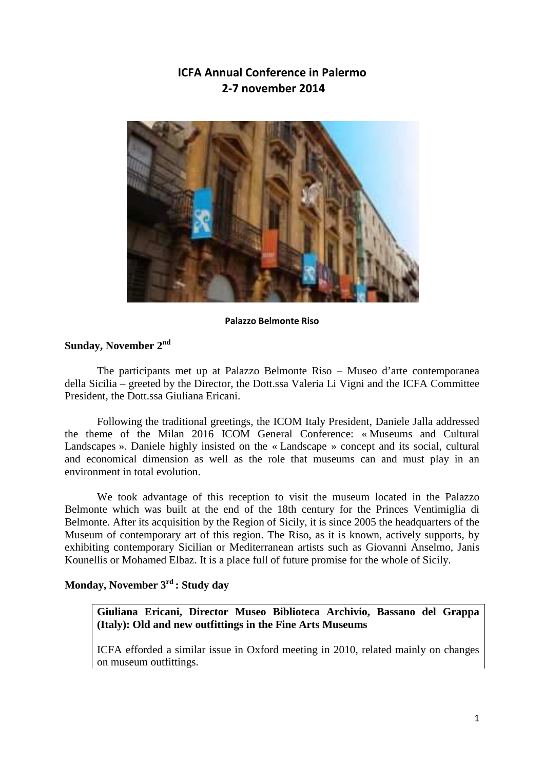# **ICFA Annual Conference in Palermo 2-7 november 2014**



#### **Palazzo Belmonte Riso**

### **Sunday, November 2nd**

The participants met up at Palazzo Belmonte Riso – Museo d'arte contemporanea della Sicilia – greeted by the Director, the Dott.ssa Valeria Li Vigni and the ICFA Committee President, the Dott.ssa Giuliana Ericani.

Following the traditional greetings, the ICOM Italy President, Daniele Jalla addressed the theme of the Milan 2016 ICOM General Conference: « Museums and Cultural Landscapes ». Daniele highly insisted on the « Landscape » concept and its social, cultural and economical dimension as well as the role that museums can and must play in an environment in total evolution.

We took advantage of this reception to visit the museum located in the Palazzo Belmonte which was built at the end of the 18th century for the Princes Ventimiglia di Belmonte. After its acquisition by the Region of Sicily, it is since 2005 the headquarters of the Museum of contemporary art of this region. The Riso, as it is known, actively supports, by exhibiting contemporary Sicilian or Mediterranean artists such as Giovanni Anselmo, Janis Kounellis or Mohamed Elbaz. It is a place full of future promise for the whole of Sicily.

## **Monday, November 3rd : Study day**

**Giuliana Ericani, Director Museo Biblioteca Archivio, Bassano del Grappa (Italy): Old and new outfittings in the Fine Arts Museums** 

ICFA efforded a similar issue in Oxford meeting in 2010, related mainly on changes on museum outfittings.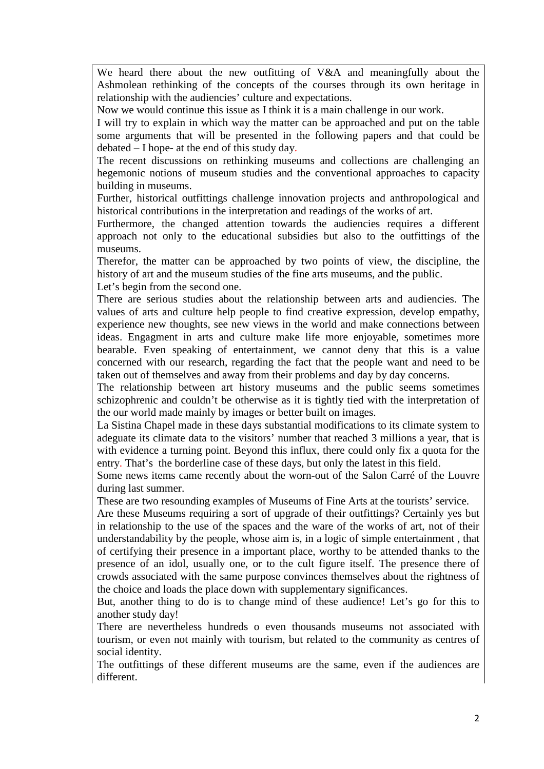We heard there about the new outfitting of V&A and meaningfully about the Ashmolean rethinking of the concepts of the courses through its own heritage in relationship with the audiencies' culture and expectations.

Now we would continue this issue as I think it is a main challenge in our work.

I will try to explain in which way the matter can be approached and put on the table some arguments that will be presented in the following papers and that could be debated – I hope- at the end of this study day.

The recent discussions on rethinking museums and collections are challenging an hegemonic notions of museum studies and the conventional approaches to capacity building in museums.

Further, historical outfittings challenge innovation projects and anthropological and historical contributions in the interpretation and readings of the works of art.

Furthermore, the changed attention towards the audiencies requires a different approach not only to the educational subsidies but also to the outfittings of the museums.

Therefor, the matter can be approached by two points of view, the discipline, the history of art and the museum studies of the fine arts museums, and the public. Let's begin from the second one.

There are serious studies about the relationship between arts and audiencies. The values of arts and culture help people to find creative expression, develop empathy, experience new thoughts, see new views in the world and make connections between ideas. Engagment in arts and culture make life more enjoyable, sometimes more bearable. Even speaking of entertainment, we cannot deny that this is a value concerned with our research, regarding the fact that the people want and need to be taken out of themselves and away from their problems and day by day concerns.

The relationship between art history museums and the public seems sometimes schizophrenic and couldn't be otherwise as it is tightly tied with the interpretation of the our world made mainly by images or better built on images.

La Sistina Chapel made in these days substantial modifications to its climate system to adeguate its climate data to the visitors' number that reached 3 millions a year, that is with evidence a turning point. Beyond this influx, there could only fix a quota for the entry. That's the borderline case of these days, but only the latest in this field.

Some news items came recently about the worn-out of the Salon Carré of the Louvre during last summer.

These are two resounding examples of Museums of Fine Arts at the tourists' service.

Are these Museums requiring a sort of upgrade of their outfittings? Certainly yes but in relationship to the use of the spaces and the ware of the works of art, not of their understandability by the people, whose aim is, in a logic of simple entertainment , that of certifying their presence in a important place, worthy to be attended thanks to the presence of an idol, usually one, or to the cult figure itself. The presence there of crowds associated with the same purpose convinces themselves about the rightness of the choice and loads the place down with supplementary significances.

But, another thing to do is to change mind of these audience! Let's go for this to another study day!

There are nevertheless hundreds o even thousands museums not associated with tourism, or even not mainly with tourism, but related to the community as centres of social identity.

The outfittings of these different museums are the same, even if the audiences are different.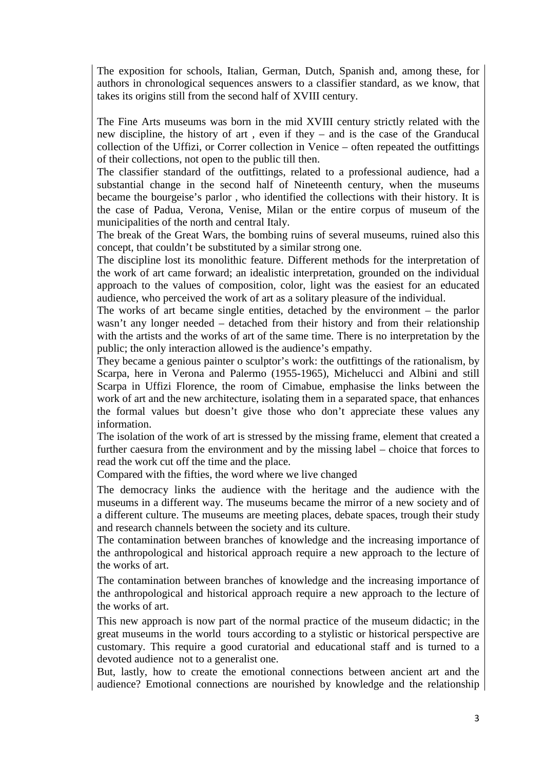The exposition for schools, Italian, German, Dutch, Spanish and, among these, for authors in chronological sequences answers to a classifier standard, as we know, that takes its origins still from the second half of XVIII century.

The Fine Arts museums was born in the mid XVIII century strictly related with the new discipline, the history of art , even if they – and is the case of the Granducal collection of the Uffizi, or Correr collection in Venice – often repeated the outfittings of their collections, not open to the public till then.

The classifier standard of the outfittings, related to a professional audience, had a substantial change in the second half of Nineteenth century, when the museums became the bourgeise's parlor , who identified the collections with their history. It is the case of Padua, Verona, Venise, Milan or the entire corpus of museum of the municipalities of the north and central Italy.

The break of the Great Wars, the bombing ruins of several museums, ruined also this concept, that couldn't be substituted by a similar strong one.

The discipline lost its monolithic feature. Different methods for the interpretation of the work of art came forward; an idealistic interpretation, grounded on the individual approach to the values of composition, color, light was the easiest for an educated audience, who perceived the work of art as a solitary pleasure of the individual.

The works of art became single entities, detached by the environment – the parlor wasn't any longer needed – detached from their history and from their relationship with the artists and the works of art of the same time. There is no interpretation by the public; the only interaction allowed is the audience's empathy.

They became a genious painter o sculptor's work: the outfittings of the rationalism, by Scarpa, here in Verona and Palermo (1955-1965), Michelucci and Albini and still Scarpa in Uffizi Florence, the room of Cimabue, emphasise the links between the work of art and the new architecture, isolating them in a separated space, that enhances the formal values but doesn't give those who don't appreciate these values any information.

The isolation of the work of art is stressed by the missing frame, element that created a further caesura from the environment and by the missing label – choice that forces to read the work cut off the time and the place.

Compared with the fifties, the word where we live changed

The democracy links the audience with the heritage and the audience with the museums in a different way. The museums became the mirror of a new society and of a different culture. The museums are meeting places, debate spaces, trough their study and research channels between the society and its culture.

The contamination between branches of knowledge and the increasing importance of the anthropological and historical approach require a new approach to the lecture of the works of art.

The contamination between branches of knowledge and the increasing importance of the anthropological and historical approach require a new approach to the lecture of the works of art.

This new approach is now part of the normal practice of the museum didactic; in the great museums in the world tours according to a stylistic or historical perspective are customary. This require a good curatorial and educational staff and is turned to a devoted audience not to a generalist one.

But, lastly, how to create the emotional connections between ancient art and the audience? Emotional connections are nourished by knowledge and the relationship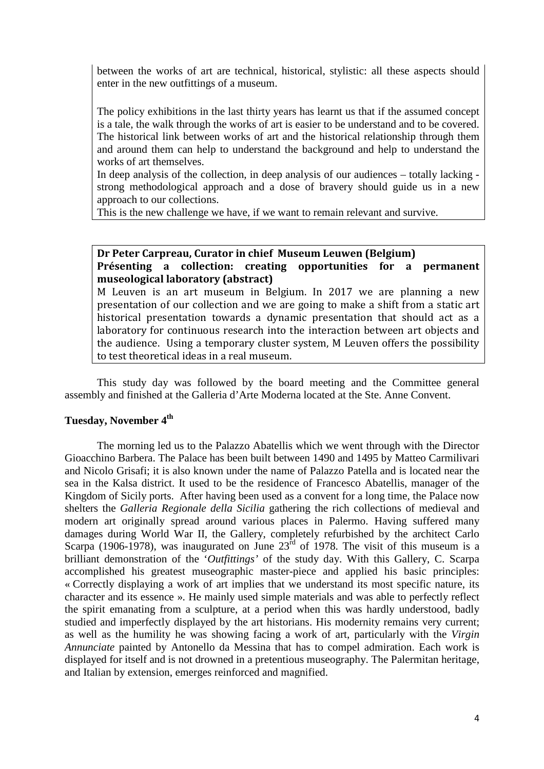between the works of art are technical, historical, stylistic: all these aspects should enter in the new outfittings of a museum.

The policy exhibitions in the last thirty years has learnt us that if the assumed concept is a tale, the walk through the works of art is easier to be understand and to be covered. The historical link between works of art and the historical relationship through them and around them can help to understand the background and help to understand the works of art themselves.

In deep analysis of the collection, in deep analysis of our audiences – totally lacking strong methodological approach and a dose of bravery should guide us in a new approach to our collections.

This is the new challenge we have, if we want to remain relevant and survive.

### **Dr Peter Carpreau, Curator in chief Museum Leuwen (Belgium) Présenting a collection: creating opportunities for a permanent museological laboratory (abstract)**

M Leuven is an art museum in Belgium. In 2017 we are planning a new presentation of our collection and we are going to make a shift from a static art historical presentation towards a dynamic presentation that should act as a laboratory for continuous research into the interaction between art objects and the audience. Using a temporary cluster system, M Leuven offers the possibility to test theoretical ideas in a real museum.

This study day was followed by the board meeting and the Committee general assembly and finished at the Galleria d'Arte Moderna located at the Ste. Anne Convent.

### **Tuesday, November 4th**

The morning led us to the Palazzo Abatellis which we went through with the Director Gioacchino Barbera. The Palace has been built between 1490 and 1495 by Matteo Carmilivari and Nicolo Grisafi; it is also known under the name of Palazzo Patella and is located near the sea in the Kalsa district. It used to be the residence of Francesco Abatellis, manager of the Kingdom of Sicily ports. After having been used as a convent for a long time, the Palace now shelters the *Galleria Regionale della Sicilia* gathering the rich collections of medieval and modern art originally spread around various places in Palermo. Having suffered many damages during World War II, the Gallery, completely refurbished by the architect Carlo Scarpa (1906-1978), was inaugurated on June  $23^{\text{rd}}$  of 1978. The visit of this museum is a brilliant demonstration of the '*Outfittings'* of the study day. With this Gallery, C. Scarpa accomplished his greatest museographic master-piece and applied his basic principles: « Correctly displaying a work of art implies that we understand its most specific nature, its character and its essence ». He mainly used simple materials and was able to perfectly reflect the spirit emanating from a sculpture, at a period when this was hardly understood, badly studied and imperfectly displayed by the art historians. His modernity remains very current; as well as the humility he was showing facing a work of art, particularly with the *Virgin Annunciate* painted by Antonello da Messina that has to compel admiration. Each work is displayed for itself and is not drowned in a pretentious museography. The Palermitan heritage, and Italian by extension, emerges reinforced and magnified.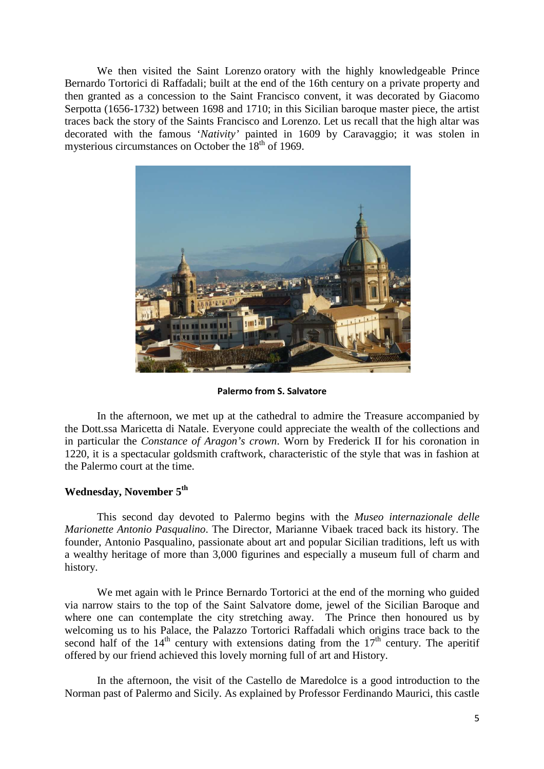We then visited the Saint Lorenzo oratory with the highly knowledgeable Prince Bernardo Tortorici di Raffadali; built at the end of the 16th century on a private property and then granted as a concession to the Saint Francisco convent, it was decorated by Giacomo Serpotta (1656-1732) between 1698 and 1710; in this Sicilian baroque master piece, the artist traces back the story of the Saints Francisco and Lorenzo. Let us recall that the high altar was decorated with the famous '*Nativity'* painted in 1609 by Caravaggio; it was stolen in mysterious circumstances on October the  $18<sup>th</sup>$  of 1969.



**Palermo from S. Salvatore** 

In the afternoon, we met up at the cathedral to admire the Treasure accompanied by the Dott.ssa Maricetta di Natale. Everyone could appreciate the wealth of the collections and in particular the *Constance of Aragon's crown*. Worn by Frederick II for his coronation in 1220, it is a spectacular goldsmith craftwork, characteristic of the style that was in fashion at the Palermo court at the time.

## **Wednesday, November 5th**

This second day devoted to Palermo begins with the *Museo internazionale delle Marionette Antonio Pasqualino*. The Director, Marianne Vibaek traced back its history. The founder, Antonio Pasqualino, passionate about art and popular Sicilian traditions, left us with a wealthy heritage of more than 3,000 figurines and especially a museum full of charm and history.

We met again with le Prince Bernardo Tortorici at the end of the morning who guided via narrow stairs to the top of the Saint Salvatore dome, jewel of the Sicilian Baroque and where one can contemplate the city stretching away. The Prince then honoured us by welcoming us to his Palace, the Palazzo Tortorici Raffadali which origins trace back to the second half of the  $14<sup>th</sup>$  century with extensions dating from the  $17<sup>th</sup>$  century. The aperitif offered by our friend achieved this lovely morning full of art and History.

In the afternoon, the visit of the Castello de Maredolce is a good introduction to the Norman past of Palermo and Sicily. As explained by Professor Ferdinando Maurici, this castle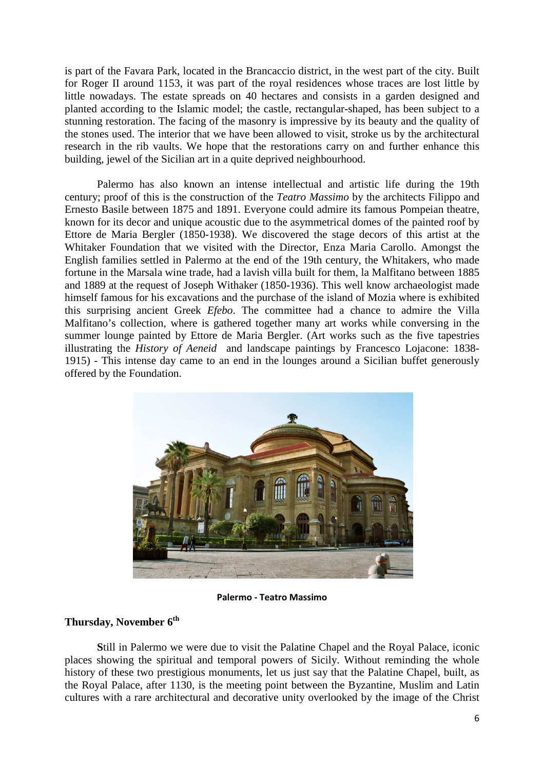is part of the Favara Park, located in the Brancaccio district, in the west part of the city. Built for Roger II around 1153, it was part of the royal residences whose traces are lost little by little nowadays. The estate spreads on 40 hectares and consists in a garden designed and planted according to the Islamic model; the castle, rectangular-shaped, has been subject to a stunning restoration. The facing of the masonry is impressive by its beauty and the quality of the stones used. The interior that we have been allowed to visit, stroke us by the architectural research in the rib vaults. We hope that the restorations carry on and further enhance this building, jewel of the Sicilian art in a quite deprived neighbourhood.

Palermo has also known an intense intellectual and artistic life during the 19th century; proof of this is the construction of the *Teatro Massimo* by the architects Filippo and Ernesto Basile between 1875 and 1891. Everyone could admire its famous Pompeian theatre, known for its decor and unique acoustic due to the asymmetrical domes of the painted roof by Ettore de Maria Bergler (1850-1938). We discovered the stage decors of this artist at the Whitaker Foundation that we visited with the Director, Enza Maria Carollo. Amongst the English families settled in Palermo at the end of the 19th century, the Whitakers, who made fortune in the Marsala wine trade, had a lavish villa built for them, la Malfitano between 1885 and 1889 at the request of Joseph Withaker (1850-1936). This well know archaeologist made himself famous for his excavations and the purchase of the island of Mozia where is exhibited this surprising ancient Greek *Efebo*. The committee had a chance to admire the Villa Malfitano's collection, where is gathered together many art works while conversing in the summer lounge painted by Ettore de Maria Bergler. (Art works such as the five tapestries illustrating the *History of Aeneid* and landscape paintings by Francesco Lojacone: 1838- 1915) - This intense day came to an end in the lounges around a Sicilian buffet generously offered by the Foundation.



**Palermo - Teatro Massimo** 

#### **Thursday, November 6th**

 **S**till in Palermo we were due to visit the Palatine Chapel and the Royal Palace, iconic places showing the spiritual and temporal powers of Sicily. Without reminding the whole history of these two prestigious monuments, let us just say that the Palatine Chapel, built, as the Royal Palace, after 1130, is the meeting point between the Byzantine, Muslim and Latin cultures with a rare architectural and decorative unity overlooked by the image of the Christ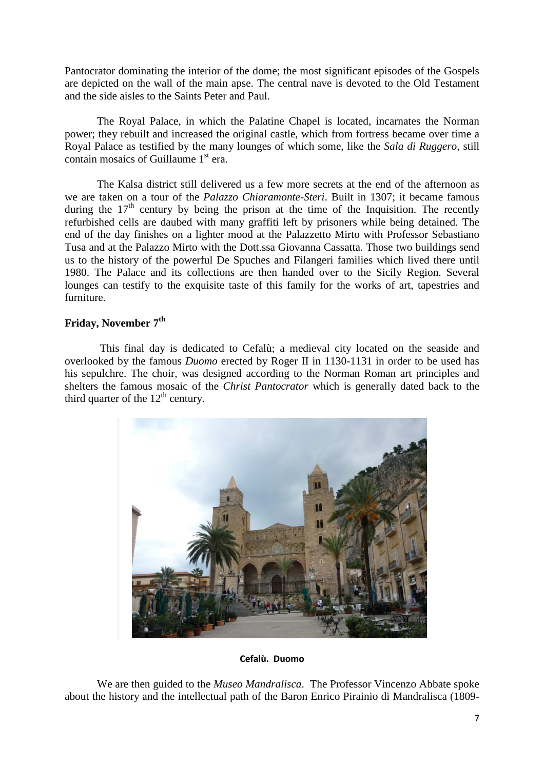Pantocrator dominating the interior of the dome; the most significant episodes of the Gospels are depicted on the wall of the main apse. The central nave is devoted to the Old Testament and the side aisles to the Saints Peter and Paul.

 The Royal Palace, in which the Palatine Chapel is located, incarnates the Norman power; they rebuilt and increased the original castle, which from fortress became over time a Royal Palace as testified by the many lounges of which some, like the *Sala di Ruggero*, still contain mosaics of Guillaume 1<sup>st</sup> era.

 The Kalsa district still delivered us a few more secrets at the end of the afternoon as we are taken on a tour of the *Palazzo Chiaramonte-Steri*. Built in 1307; it became famous during the  $17<sup>th</sup>$  century by being the prison at the time of the Inquisition. The recently refurbished cells are daubed with many graffiti left by prisoners while being detained. The end of the day finishes on a lighter mood at the Palazzetto Mirto with Professor Sebastiano Tusa and at the Palazzo Mirto with the Dott.ssa Giovanna Cassatta. Those two buildings send us to the history of the powerful De Spuches and Filangeri families which lived there until 1980. The Palace and its collections are then handed over to the Sicily Region. Several lounges can testify to the exquisite taste of this family for the works of art, tapestries and furniture.

#### **Friday, November 7th**

 This final day is dedicated to Cefalù; a medieval city located on the seaside and overlooked by the famous *Duomo* erected by Roger II in 1130-1131 in order to be used has his sepulchre. The choir, was designed according to the Norman Roman art principles and shelters the famous mosaic of the *Christ Pantocrator* which is generally dated back to the third quarter of the  $12<sup>th</sup>$  century.



**Cefalù. Duomo** 

 We are then guided to the *Museo Mandralisca*. The Professor Vincenzo Abbate spoke about the history and the intellectual path of the Baron Enrico Pirainio di Mandralisca (1809-